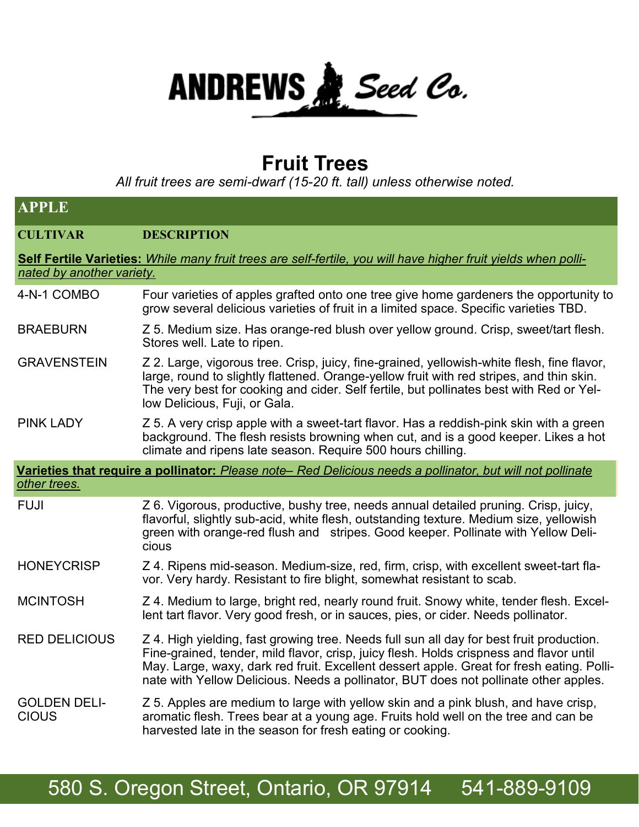

## **Fruit Trees**

*All fruit trees are semi-dwarf (15-20 ft. tall) unless otherwise noted.*

| <b>APPLE</b>                                                                                                                                |                                                                                                                                                                                                                                                                                                                                                                          |  |
|---------------------------------------------------------------------------------------------------------------------------------------------|--------------------------------------------------------------------------------------------------------------------------------------------------------------------------------------------------------------------------------------------------------------------------------------------------------------------------------------------------------------------------|--|
| <b>CULTIVAR</b>                                                                                                                             | <b>DESCRIPTION</b>                                                                                                                                                                                                                                                                                                                                                       |  |
| Self Fertile Varieties: While many fruit trees are self-fertile, you will have higher fruit yields when polli-<br>nated by another variety. |                                                                                                                                                                                                                                                                                                                                                                          |  |
| 4-N-1 COMBO                                                                                                                                 | Four varieties of apples grafted onto one tree give home gardeners the opportunity to<br>grow several delicious varieties of fruit in a limited space. Specific varieties TBD.                                                                                                                                                                                           |  |
| <b>BRAEBURN</b>                                                                                                                             | Z 5. Medium size. Has orange-red blush over yellow ground. Crisp, sweet/tart flesh.<br>Stores well. Late to ripen.                                                                                                                                                                                                                                                       |  |
| <b>GRAVENSTEIN</b>                                                                                                                          | Z 2. Large, vigorous tree. Crisp, juicy, fine-grained, yellowish-white flesh, fine flavor,<br>large, round to slightly flattened. Orange-yellow fruit with red stripes, and thin skin.<br>The very best for cooking and cider. Self fertile, but pollinates best with Red or Yel-<br>low Delicious, Fuji, or Gala.                                                       |  |
| <b>PINK LADY</b>                                                                                                                            | Z 5. A very crisp apple with a sweet-tart flavor. Has a reddish-pink skin with a green<br>background. The flesh resists browning when cut, and is a good keeper. Likes a hot<br>climate and ripens late season. Require 500 hours chilling.                                                                                                                              |  |
| Varieties that require a pollinator: Please note-Red Delicious needs a pollinator, but will not pollinate<br>other trees.                   |                                                                                                                                                                                                                                                                                                                                                                          |  |
| <b>FUJI</b>                                                                                                                                 | Z 6. Vigorous, productive, bushy tree, needs annual detailed pruning. Crisp, juicy,<br>flavorful, slightly sub-acid, white flesh, outstanding texture. Medium size, yellowish<br>green with orange-red flush and stripes. Good keeper. Pollinate with Yellow Deli-<br>cious                                                                                              |  |
| <b>HONEYCRISP</b>                                                                                                                           | Z 4. Ripens mid-season. Medium-size, red, firm, crisp, with excellent sweet-tart fla-<br>vor. Very hardy. Resistant to fire blight, somewhat resistant to scab.                                                                                                                                                                                                          |  |
| <b>MCINTOSH</b>                                                                                                                             | Z 4. Medium to large, bright red, nearly round fruit. Snowy white, tender flesh. Excel-<br>lent tart flavor. Very good fresh, or in sauces, pies, or cider. Needs pollinator.                                                                                                                                                                                            |  |
| <b>RED DELICIOUS</b>                                                                                                                        | Z 4. High yielding, fast growing tree. Needs full sun all day for best fruit production.<br>Fine-grained, tender, mild flavor, crisp, juicy flesh. Holds crispness and flavor until<br>May. Large, waxy, dark red fruit. Excellent dessert apple. Great for fresh eating. Polli-<br>nate with Yellow Delicious. Needs a pollinator, BUT does not pollinate other apples. |  |
| <b>GOLDEN DELI-</b><br><b>CIOUS</b>                                                                                                         | Z 5. Apples are medium to large with yellow skin and a pink blush, and have crisp,<br>aromatic flesh. Trees bear at a young age. Fruits hold well on the tree and can be<br>harvested late in the season for fresh eating or cooking.                                                                                                                                    |  |

## 580 S. Oregon Street, Ontario, OR 97914 541-889-9109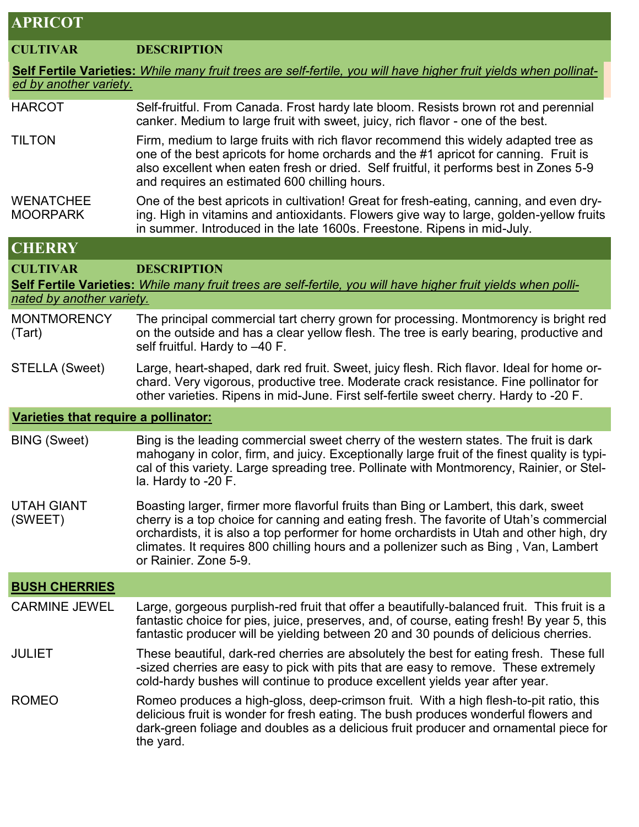## **APRICOT**

| <b>CULTIVAR</b>                      | <b>DESCRIPTION</b>                                                                                                                                                                                                                                                                                                                                                                          |
|--------------------------------------|---------------------------------------------------------------------------------------------------------------------------------------------------------------------------------------------------------------------------------------------------------------------------------------------------------------------------------------------------------------------------------------------|
|                                      | Self Fertile Varieties: While many fruit trees are self-fertile, you will have higher fruit yields when pollinat-                                                                                                                                                                                                                                                                           |
| ed by another variety.               |                                                                                                                                                                                                                                                                                                                                                                                             |
| <b>HARCOT</b>                        | Self-fruitful. From Canada. Frost hardy late bloom. Resists brown rot and perennial<br>canker. Medium to large fruit with sweet, juicy, rich flavor - one of the best.                                                                                                                                                                                                                      |
| <b>TILTON</b>                        | Firm, medium to large fruits with rich flavor recommend this widely adapted tree as<br>one of the best apricots for home orchards and the #1 apricot for canning. Fruit is<br>also excellent when eaten fresh or dried. Self fruitful, it performs best in Zones 5-9<br>and requires an estimated 600 chilling hours.                                                                       |
| <b>WENATCHEE</b><br><b>MOORPARK</b>  | One of the best apricots in cultivation! Great for fresh-eating, canning, and even dry-<br>ing. High in vitamins and antioxidants. Flowers give way to large, golden-yellow fruits<br>in summer. Introduced in the late 1600s. Freestone. Ripens in mid-July.                                                                                                                               |
| <b>CHERRY</b>                        |                                                                                                                                                                                                                                                                                                                                                                                             |
| <b>CULTIVAR</b>                      | <b>DESCRIPTION</b>                                                                                                                                                                                                                                                                                                                                                                          |
|                                      | Self Fertile Varieties: While many fruit trees are self-fertile, you will have higher fruit yields when polli-                                                                                                                                                                                                                                                                              |
| nated by another variety.            |                                                                                                                                                                                                                                                                                                                                                                                             |
| <b>MONTMORENCY</b><br>(Tart)         | The principal commercial tart cherry grown for processing. Montmorency is bright red<br>on the outside and has a clear yellow flesh. The tree is early bearing, productive and<br>self fruitful. Hardy to -40 F.                                                                                                                                                                            |
| <b>STELLA (Sweet)</b>                | Large, heart-shaped, dark red fruit. Sweet, juicy flesh. Rich flavor. Ideal for home or-<br>chard. Very vigorous, productive tree. Moderate crack resistance. Fine pollinator for<br>other varieties. Ripens in mid-June. First self-fertile sweet cherry. Hardy to -20 F.                                                                                                                  |
| Varieties that require a pollinator: |                                                                                                                                                                                                                                                                                                                                                                                             |
| <b>BING (Sweet)</b>                  | Bing is the leading commercial sweet cherry of the western states. The fruit is dark<br>mahogany in color, firm, and juicy. Exceptionally large fruit of the finest quality is typi-<br>cal of this variety. Large spreading tree. Pollinate with Montmorency, Rainier, or Stel-<br>la. Hardy to -20 F.                                                                                     |
| <b>UTAH GIANT</b><br>(SWEET)         | Boasting larger, firmer more flavorful fruits than Bing or Lambert, this dark, sweet<br>cherry is a top choice for canning and eating fresh. The favorite of Utah's commercial<br>orchardists, it is also a top performer for home orchardists in Utah and other high, dry<br>climates. It requires 800 chilling hours and a pollenizer such as Bing, Van, Lambert<br>or Rainier, Zone 5-9. |
| <b>BUSH CHERRIES</b>                 |                                                                                                                                                                                                                                                                                                                                                                                             |
| <b>CARMINE JEWEL</b>                 | Large, gorgeous purplish-red fruit that offer a beautifully-balanced fruit. This fruit is a<br>fantastic choice for pies, juice, preserves, and, of course, eating fresh! By year 5, this<br>fantastic producer will be yielding between 20 and 30 pounds of delicious cherries.                                                                                                            |
| <b>JULIET</b>                        | These beautiful, dark-red cherries are absolutely the best for eating fresh. These full<br>-sized cherries are easy to pick with pits that are easy to remove. These extremely<br>cold-hardy bushes will continue to produce excellent yields year after year.                                                                                                                              |
| <b>ROMEO</b>                         | Romeo produces a high-gloss, deep-crimson fruit. With a high flesh-to-pit ratio, this<br>delicious fruit is wonder for fresh eating. The bush produces wonderful flowers and<br>dark-green foliage and doubles as a delicious fruit producer and ornamental piece for<br>the yard.                                                                                                          |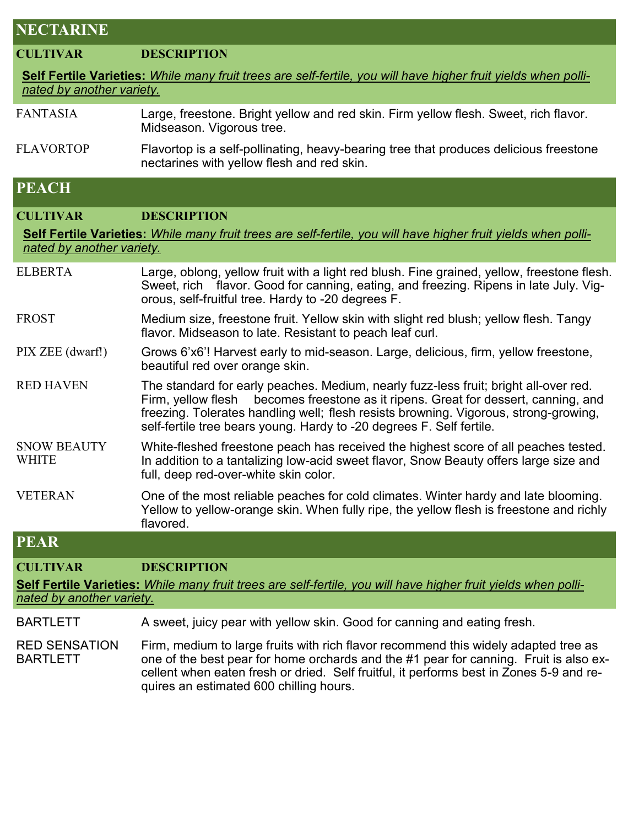| NEC IARINE                                                                                                                                  |                                                                                                                                                                                                                                                                                                                                               |  |
|---------------------------------------------------------------------------------------------------------------------------------------------|-----------------------------------------------------------------------------------------------------------------------------------------------------------------------------------------------------------------------------------------------------------------------------------------------------------------------------------------------|--|
| <b>CULTIVAR</b>                                                                                                                             | <b>DESCRIPTION</b>                                                                                                                                                                                                                                                                                                                            |  |
| Self Fertile Varieties: While many fruit trees are self-fertile, you will have higher fruit yields when polli-                              |                                                                                                                                                                                                                                                                                                                                               |  |
| nated by another variety.                                                                                                                   |                                                                                                                                                                                                                                                                                                                                               |  |
| <b>FANTASIA</b>                                                                                                                             | Large, freestone. Bright yellow and red skin. Firm yellow flesh. Sweet, rich flavor.<br>Midseason. Vigorous tree.                                                                                                                                                                                                                             |  |
| <b>FLAVORTOP</b>                                                                                                                            | Flavortop is a self-pollinating, heavy-bearing tree that produces delicious freestone<br>nectarines with yellow flesh and red skin.                                                                                                                                                                                                           |  |
| <b>PEACH</b>                                                                                                                                |                                                                                                                                                                                                                                                                                                                                               |  |
| <b>CULTIVAR</b>                                                                                                                             | <b>DESCRIPTION</b>                                                                                                                                                                                                                                                                                                                            |  |
| Self Fertile Varieties: While many fruit trees are self-fertile, you will have higher fruit yields when polli-<br>nated by another variety. |                                                                                                                                                                                                                                                                                                                                               |  |
| <b>ELBERTA</b>                                                                                                                              | Large, oblong, yellow fruit with a light red blush. Fine grained, yellow, freestone flesh.<br>Sweet, rich flavor. Good for canning, eating, and freezing. Ripens in late July. Vig-<br>orous, self-fruitful tree. Hardy to -20 degrees F.                                                                                                     |  |
| <b>FROST</b>                                                                                                                                | Medium size, freestone fruit. Yellow skin with slight red blush; yellow flesh. Tangy<br>flavor. Midseason to late. Resistant to peach leaf curl.                                                                                                                                                                                              |  |
| PIX ZEE (dwarf!)                                                                                                                            | Grows 6'x6'! Harvest early to mid-season. Large, delicious, firm, yellow freestone,<br>beautiful red over orange skin.                                                                                                                                                                                                                        |  |
| <b>RED HAVEN</b>                                                                                                                            | The standard for early peaches. Medium, nearly fuzz-less fruit; bright all-over red.<br>becomes freestone as it ripens. Great for dessert, canning, and<br>Firm, yellow flesh<br>freezing. Tolerates handling well; flesh resists browning. Vigorous, strong-growing,<br>self-fertile tree bears young. Hardy to -20 degrees F. Self fertile. |  |
| <b>SNOW BEAUTY</b><br><b>WHITE</b>                                                                                                          | White-fleshed freestone peach has received the highest score of all peaches tested.<br>In addition to a tantalizing low-acid sweet flavor, Snow Beauty offers large size and<br>full, deep red-over-white skin color.                                                                                                                         |  |
| <b>VETERAN</b>                                                                                                                              | One of the most reliable peaches for cold climates. Winter hardy and late blooming<br>Yellow to yellow-orange skin. When fully ripe, the yellow flesh is freestone and richly<br>flavored.                                                                                                                                                    |  |
| <b>PEAR</b>                                                                                                                                 |                                                                                                                                                                                                                                                                                                                                               |  |
| <b>CULTIVAR</b>                                                                                                                             | <b>DESCRIPTION</b>                                                                                                                                                                                                                                                                                                                            |  |
| Self Fertile Varieties: While many fruit trees are self-fertile, you will have higher fruit yields when polli-<br>nated by another variety. |                                                                                                                                                                                                                                                                                                                                               |  |
| <b>BARTLETT</b>                                                                                                                             | A sweet, juicy pear with yellow skin. Good for canning and eating fresh.                                                                                                                                                                                                                                                                      |  |
|                                                                                                                                             |                                                                                                                                                                                                                                                                                                                                               |  |

**NECTABINE** 

RED SENSATION BARTLETT Firm, medium to large fruits with rich flavor recommend this widely adapted tree as one of the best pear for home orchards and the #1 pear for canning. Fruit is also excellent when eaten fresh or dried. Self fruitful, it performs best in Zones 5-9 and requires an estimated 600 chilling hours.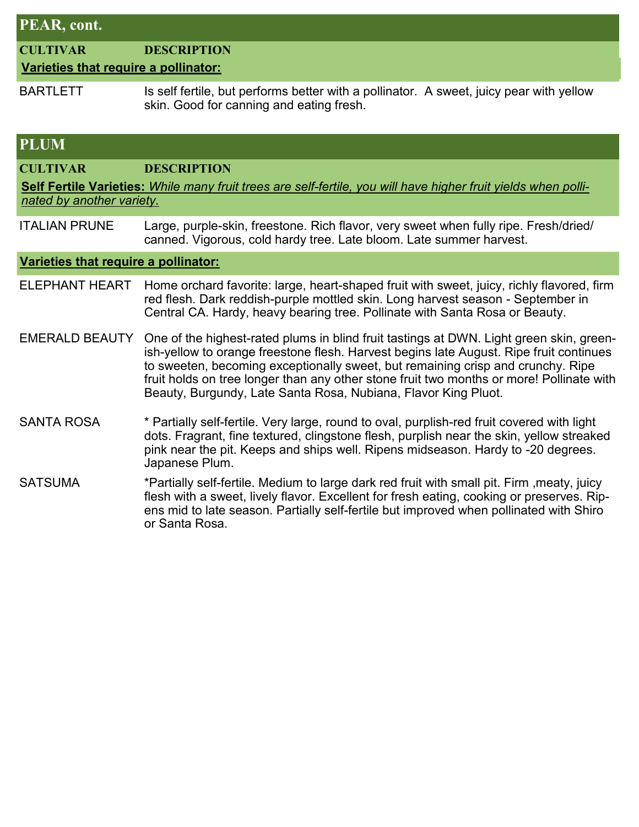| PEAR, cont.                                                                                                                                 |                                                                                                                                                                                                                                                                                                                                                                                                                                    |  |
|---------------------------------------------------------------------------------------------------------------------------------------------|------------------------------------------------------------------------------------------------------------------------------------------------------------------------------------------------------------------------------------------------------------------------------------------------------------------------------------------------------------------------------------------------------------------------------------|--|
| <b>CULTIVAR</b><br>Varieties that require a pollinator:                                                                                     | <b>DESCRIPTION</b>                                                                                                                                                                                                                                                                                                                                                                                                                 |  |
| <b>BARTLETT</b>                                                                                                                             | Is self fertile, but performs better with a pollinator. A sweet, juicy pear with yellow<br>skin. Good for canning and eating fresh.                                                                                                                                                                                                                                                                                                |  |
| <b>PLUM</b>                                                                                                                                 |                                                                                                                                                                                                                                                                                                                                                                                                                                    |  |
| <b>CULTIVAR</b>                                                                                                                             | <b>DESCRIPTION</b>                                                                                                                                                                                                                                                                                                                                                                                                                 |  |
| Self Fertile Varieties: While many fruit trees are self-fertile, you will have higher fruit yields when polli-<br>nated by another variety. |                                                                                                                                                                                                                                                                                                                                                                                                                                    |  |
| <b>ITALIAN PRUNE</b>                                                                                                                        | Large, purple-skin, freestone. Rich flavor, very sweet when fully ripe. Fresh/dried/<br>canned. Vigorous, cold hardy tree. Late bloom. Late summer harvest.                                                                                                                                                                                                                                                                        |  |
| Varieties that require a pollinator:                                                                                                        |                                                                                                                                                                                                                                                                                                                                                                                                                                    |  |
| <b>ELEPHANT HEART</b>                                                                                                                       | Home orchard favorite: large, heart-shaped fruit with sweet, juicy, richly flavored, firm<br>red flesh. Dark reddish-purple mottled skin. Long harvest season - September in<br>Central CA. Hardy, heavy bearing tree. Pollinate with Santa Rosa or Beauty.                                                                                                                                                                        |  |
| <b>EMERALD BEAUTY</b>                                                                                                                       | One of the highest-rated plums in blind fruit tastings at DWN. Light green skin, green-<br>ish-yellow to orange freestone flesh. Harvest begins late August. Ripe fruit continues<br>to sweeten, becoming exceptionally sweet, but remaining crisp and crunchy. Ripe<br>fruit holds on tree longer than any other stone fruit two months or more! Pollinate with<br>Beauty, Burgundy, Late Santa Rosa, Nubiana, Flavor King Pluot. |  |
| <b>SANTA ROSA</b>                                                                                                                           | * Partially self-fertile. Very large, round to oval, purplish-red fruit covered with light<br>dots. Fragrant, fine textured, clingstone flesh, purplish near the skin, yellow streaked<br>pink near the pit. Keeps and ships well. Ripens midseason. Hardy to -20 degrees.<br>Japanese Plum.                                                                                                                                       |  |
| <b>SATSUMA</b>                                                                                                                              | *Partially self-fertile. Medium to large dark red fruit with small pit. Firm , meaty, juicy<br>flesh with a sweet, lively flavor. Excellent for fresh eating, cooking or preserves. Rip-<br>ens mid to late season. Partially self-fertile but improved when pollinated with Shiro<br>or Santa Rosa.                                                                                                                               |  |